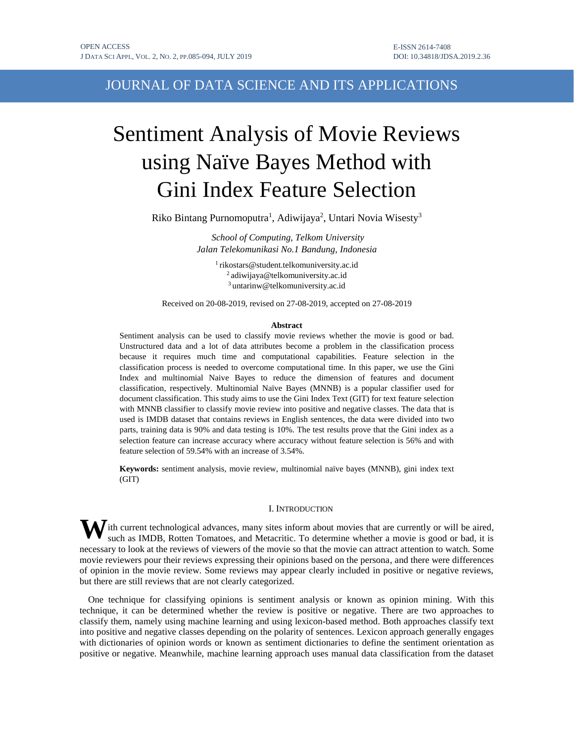# JOURNAL OF DATA SCIENCE AND ITS APPLICATIONS

# Sentiment Analysis of Movie Reviews using Naïve Bayes Method with Gini Index Feature Selection

Riko Bintang Purnomoputra<sup>1</sup>, Adiwijaya<sup>2</sup>, Untari Novia Wisesty<sup>3</sup>

*School of Computing, Telkom University Jalan Telekomunikasi No.1 Bandung, Indonesia*

1 rikostars@student.telkomuniversity.ac.id 2 adiwijaya@telkomuniversity.ac.id <sup>3</sup> untarinw@telkomuniversity.ac.id

Received on 20-08-2019, revised on 27-08-2019, accepted on 27-08-2019

#### **Abstract**

Sentiment analysis can be used to classify movie reviews whether the movie is good or bad. Unstructured data and a lot of data attributes become a problem in the classification process because it requires much time and computational capabilities. Feature selection in the classification process is needed to overcome computational time. In this paper, we use the Gini Index and multinomial Naive Bayes to reduce the dimension of features and document classification, respectively. Multinomial Naïve Bayes (MNNB) is a popular classifier used for document classification. This study aims to use the Gini Index Text (GIT) for text feature selection with MNNB classifier to classify movie review into positive and negative classes. The data that is used is IMDB dataset that contains reviews in English sentences, the data were divided into two parts, training data is 90% and data testing is 10%. The test results prove that the Gini index as a selection feature can increase accuracy where accuracy without feature selection is 56% and with feature selection of 59.54% with an increase of 3.54%.

**Keywords:** sentiment analysis, movie review, multinomial naïve bayes (MNNB), gini index text (GIT)

# I. INTRODUCTION

W ith current technological advances, many sites inform about movies that are currently or will be aired, such as IMDB, Rotten Tomatoes, and Metacritic. To determine whether a movie is good or bad, it is such as IMDB, Rotten Tomatoes, and Metacritic. To determine whether a movie is good or bad, it is necessary to look at the reviews of viewers of the movie so that the movie can attract attention to watch. Some movie reviewers pour their reviews expressing their opinions based on the persona, and there were differences of opinion in the movie review. Some reviews may appear clearly included in positive or negative reviews, but there are still reviews that are not clearly categorized.

One technique for classifying opinions is sentiment analysis or known as opinion mining. With this technique, it can be determined whether the review is positive or negative. There are two approaches to classify them, namely using machine learning and using lexicon-based method. Both approaches classify text into positive and negative classes depending on the polarity of sentences. Lexicon approach generally engages with dictionaries of opinion words or known as sentiment dictionaries to define the sentiment orientation as positive or negative. Meanwhile, machine learning approach uses manual data classification from the dataset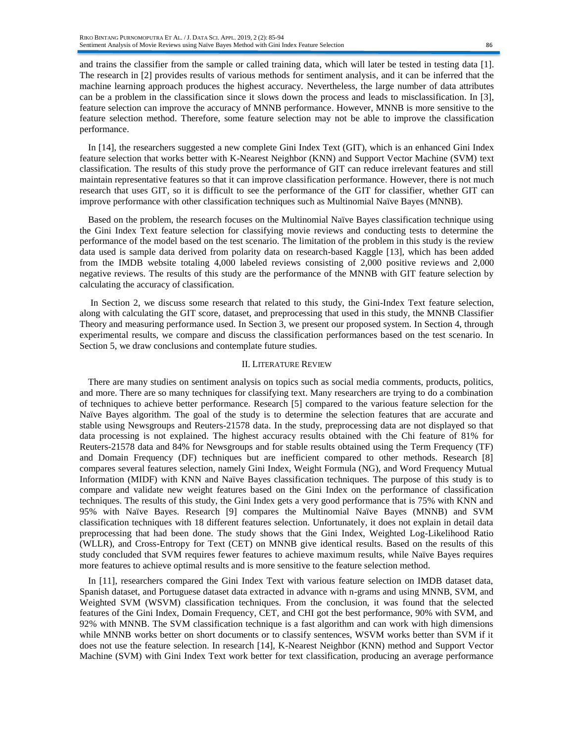and trains the classifier from the sample or called training data, which will later be tested in testing data [1]. The research in [2] provides results of various methods for sentiment analysis, and it can be inferred that the machine learning approach produces the highest accuracy. Nevertheless, the large number of data attributes can be a problem in the classification since it slows down the process and leads to misclassification. In [3], feature selection can improve the accuracy of MNNB performance. However, MNNB is more sensitive to the feature selection method. Therefore, some feature selection may not be able to improve the classification performance.

In [14], the researchers suggested a new complete Gini Index Text (GIT), which is an enhanced Gini Index feature selection that works better with K-Nearest Neighbor (KNN) and Support Vector Machine (SVM) text classification. The results of this study prove the performance of GIT can reduce irrelevant features and still maintain representative features so that it can improve classification performance. However, there is not much research that uses GIT, so it is difficult to see the performance of the GIT for classifier, whether GIT can improve performance with other classification techniques such as Multinomial Naïve Bayes (MNNB).

Based on the problem, the research focuses on the Multinomial Naïve Bayes classification technique using the Gini Index Text feature selection for classifying movie reviews and conducting tests to determine the performance of the model based on the test scenario. The limitation of the problem in this study is the review data used is sample data derived from polarity data on research-based Kaggle [13], which has been added from the IMDB website totaling 4,000 labeled reviews consisting of 2,000 positive reviews and 2,000 negative reviews. The results of this study are the performance of the MNNB with GIT feature selection by calculating the accuracy of classification.

In Section 2, we discuss some research that related to this study, the Gini-Index Text feature selection, along with calculating the GIT score, dataset, and preprocessing that used in this study, the MNNB Classifier Theory and measuring performance used. In Section 3, we present our proposed system. In Section 4, through experimental results, we compare and discuss the classification performances based on the test scenario. In Section 5, we draw conclusions and contemplate future studies.

#### II. LITERATURE REVIEW

There are many studies on sentiment analysis on topics such as social media comments, products, politics, and more. There are so many techniques for classifying text. Many researchers are trying to do a combination of techniques to achieve better performance. Research [5] compared to the various feature selection for the Naïve Bayes algorithm. The goal of the study is to determine the selection features that are accurate and stable using Newsgroups and Reuters-21578 data. In the study, preprocessing data are not displayed so that data processing is not explained. The highest accuracy results obtained with the Chi feature of 81% for Reuters-21578 data and 84% for Newsgroups and for stable results obtained using the Term Frequency (TF) and Domain Frequency (DF) techniques but are inefficient compared to other methods. Research [8] compares several features selection, namely Gini Index, Weight Formula (NG), and Word Frequency Mutual Information (MIDF) with KNN and Naïve Bayes classification techniques. The purpose of this study is to compare and validate new weight features based on the Gini Index on the performance of classification techniques. The results of this study, the Gini Index gets a very good performance that is 75% with KNN and 95% with Naïve Bayes. Research [9] compares the Multinomial Naïve Bayes (MNNB) and SVM classification techniques with 18 different features selection. Unfortunately, it does not explain in detail data preprocessing that had been done. The study shows that the Gini Index, Weighted Log-Likelihood Ratio (WLLR), and Cross-Entropy for Text (CET) on MNNB give identical results. Based on the results of this study concluded that SVM requires fewer features to achieve maximum results, while Naïve Bayes requires more features to achieve optimal results and is more sensitive to the feature selection method.

In [11], researchers compared the Gini Index Text with various feature selection on IMDB dataset data, Spanish dataset, and Portuguese dataset data extracted in advance with n-grams and using MNNB, SVM, and Weighted SVM (WSVM) classification techniques. From the conclusion, it was found that the selected features of the Gini Index, Domain Frequency, CET, and CHI got the best performance, 90% with SVM, and 92% with MNNB. The SVM classification technique is a fast algorithm and can work with high dimensions while MNNB works better on short documents or to classify sentences, WSVM works better than SVM if it does not use the feature selection. In research [14], K-Nearest Neighbor (KNN) method and Support Vector Machine (SVM) with Gini Index Text work better for text classification, producing an average performance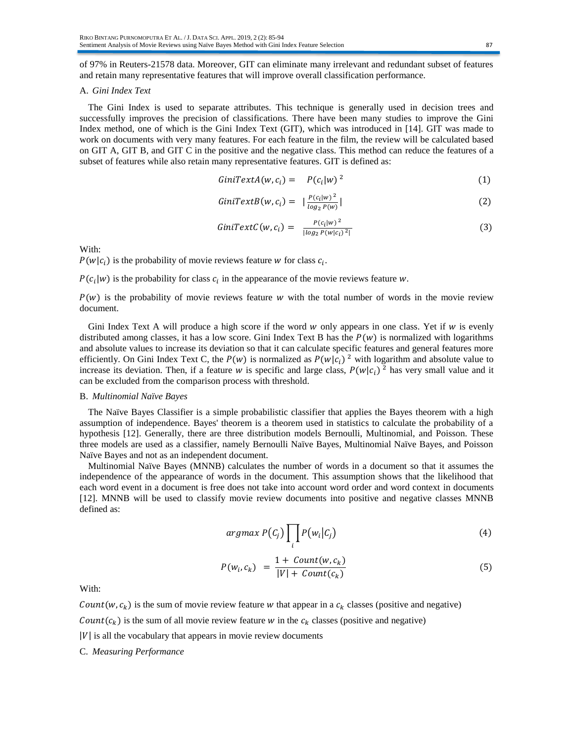of 97% in Reuters-21578 data. Moreover, GIT can eliminate many irrelevant and redundant subset of features and retain many representative features that will improve overall classification performance.

# A. *Gini Index Text*

The Gini Index is used to separate attributes. This technique is generally used in decision trees and successfully improves the precision of classifications. There have been many studies to improve the Gini Index method, one of which is the Gini Index Text (GIT), which was introduced in [14]. GIT was made to work on documents with very many features. For each feature in the film, the review will be calculated based on GIT A, GIT B, and GIT C in the positive and the negative class. This method can reduce the features of a subset of features while also retain many representative features. GIT is defined as:

$$
GiniTextA(w, c_i) = P(c_i|w)^2
$$
\n(1)

$$
GiniTextB(w, c_i) = |\frac{P(c_i|w)^2}{\log_2 P(w)}|
$$
\n(2)

GiniTextC(w, c<sub>i</sub>) = 
$$
\frac{P(c_i|w)^2}{|log_2 P(w|c_i)^2|}
$$
 (3)

With:

 $P(w|c_i)$  is the probability of movie reviews feature w for class  $c_i$ .

 $P(c_i|w)$  is the probability for class  $c_i$  in the appearance of the movie reviews feature w.

 $P(w)$  is the probability of movie reviews feature w with the total number of words in the movie review document.

Gini Index Text A will produce a high score if the word  $w$  only appears in one class. Yet if  $w$  is evenly distributed among classes, it has a low score. Gini Index Text B has the  $P(w)$  is normalized with logarithms and absolute values to increase its deviation so that it can calculate specific features and general features more efficiently. On Gini Index Text C, the  $P(w)$  is normalized as  $P(w|c_i)^2$  with logarithm and absolute value to increase its deviation. Then, if a feature w is specific and large class,  $P(w|c_i)^2$  has very small value and it can be excluded from the comparison process with threshold.

#### B. *Multinomial Naïve Bayes*

The Naïve Bayes Classifier is a simple probabilistic classifier that applies the Bayes theorem with a high assumption of independence. Bayes' theorem is a theorem used in statistics to calculate the probability of a hypothesis [12]. Generally, there are three distribution models Bernoulli, Multinomial, and Poisson. These three models are used as a classifier, namely Bernoulli Naïve Bayes, Multinomial Naïve Bayes, and Poisson Naïve Bayes and not as an independent document.

Multinomial Naïve Bayes (MNNB) calculates the number of words in a document so that it assumes the independence of the appearance of words in the document. This assumption shows that the likelihood that each word event in a document is free does not take into account word order and word context in documents [12]. MNNB will be used to classify movie review documents into positive and negative classes MNNB defined as:

$$
argmax P(C_j) \prod_i P(w_i | C_j)
$$
\n(4)

$$
P(w_i, c_k) = \frac{1 + Count(w, c_k)}{|V| + Count(c_k)}
$$
\n
$$
(5)
$$

With:

Count  $(w, c_k)$  is the sum of movie review feature w that appear in a  $c_k$  classes (positive and negative)

Count( $c_k$ ) is the sum of all movie review feature w in the  $c_k$  classes (positive and negative)

 $|V|$  is all the vocabulary that appears in movie review documents

C. *Measuring Performance*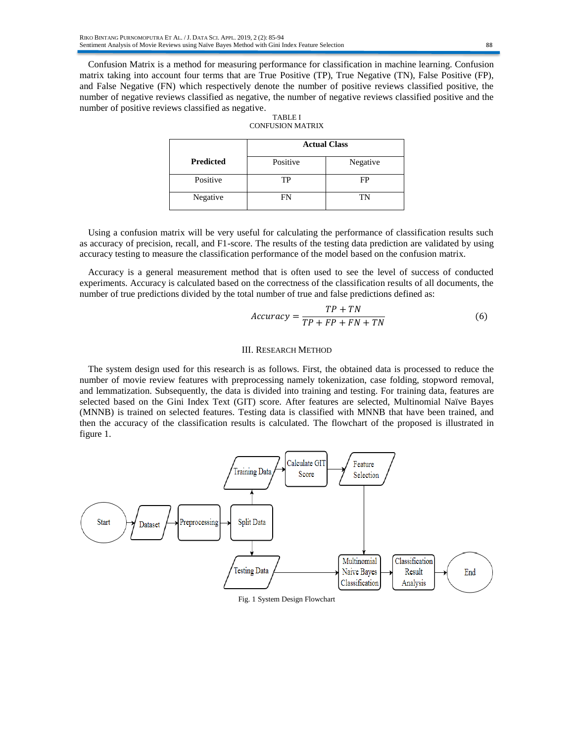Confusion Matrix is a method for measuring performance for classification in machine learning. Confusion matrix taking into account four terms that are True Positive (TP), True Negative (TN), False Positive (FP), and False Negative (FN) which respectively denote the number of positive reviews classified positive, the number of negative reviews classified as negative, the number of negative reviews classified positive and the number of positive reviews classified as negative.

|                  | <b>Actual Class</b> |          |
|------------------|---------------------|----------|
| <b>Predicted</b> | Positive            | Negative |
| Positive         | TP                  | FP       |
| Negative         | FN                  | TN       |

| TABLE I          |
|------------------|
| CONFUSION MATRIX |

Using a confusion matrix will be very useful for calculating the performance of classification results such as accuracy of precision, recall, and F1-score. The results of the testing data prediction are validated by using accuracy testing to measure the classification performance of the model based on the confusion matrix.

Accuracy is a general measurement method that is often used to see the level of success of conducted experiments. Accuracy is calculated based on the correctness of the classification results of all documents, the number of true predictions divided by the total number of true and false predictions defined as:

$$
Accuracy = \frac{TP + TN}{TP + FP + FN + TN}
$$
 (6)

# III. RESEARCH METHOD

The system design used for this research is as follows. First, the obtained data is processed to reduce the number of movie review features with preprocessing namely tokenization, case folding, stopword removal, and lemmatization. Subsequently, the data is divided into training and testing. For training data, features are selected based on the Gini Index Text (GIT) score. After features are selected, Multinomial Naïve Bayes (MNNB) is trained on selected features. Testing data is classified with MNNB that have been trained, and then the accuracy of the classification results is calculated. The flowchart of the proposed is illustrated in figure 1.



#### Fig. 1 System Design Flowchart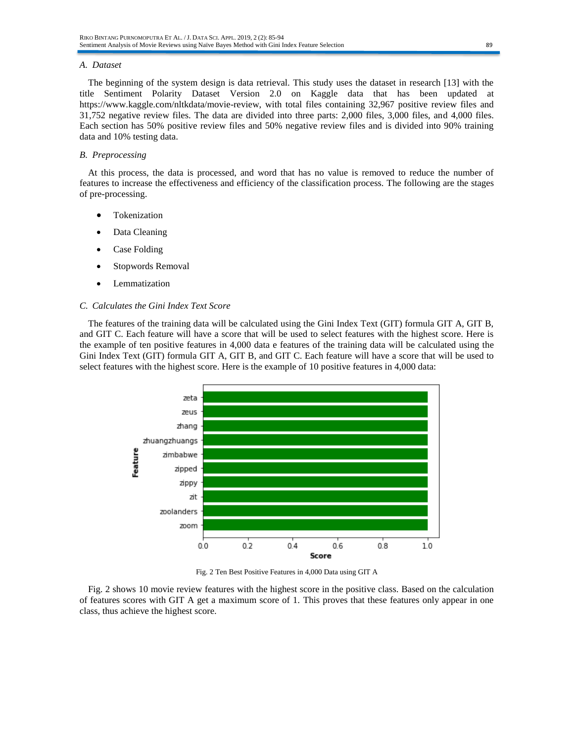#### *A. Dataset*

The beginning of the system design is data retrieval. This study uses the dataset in research [13] with the title Sentiment Polarity Dataset Version 2.0 on Kaggle data that has been updated at https://www.kaggle.com/nltkdata/movie-review, with total files containing 32,967 positive review files and 31,752 negative review files. The data are divided into three parts: 2,000 files, 3,000 files, and 4,000 files. Each section has 50% positive review files and 50% negative review files and is divided into 90% training data and 10% testing data.

## *B. Preprocessing*

At this process, the data is processed, and word that has no value is removed to reduce the number of features to increase the effectiveness and efficiency of the classification process. The following are the stages of pre-processing.

- **Tokenization**
- Data Cleaning
- Case Folding
- Stopwords Removal
- **Lemmatization**

#### *C. Calculates the Gini Index Text Score*

The features of the training data will be calculated using the Gini Index Text (GIT) formula GIT A, GIT B, and GIT C. Each feature will have a score that will be used to select features with the highest score. Here is the example of ten positive features in 4,000 data e features of the training data will be calculated using the Gini Index Text (GIT) formula GIT A, GIT B, and GIT C. Each feature will have a score that will be used to select features with the highest score. Here is the example of 10 positive features in 4,000 data:



Fig. 2 Ten Best Positive Features in 4,000 Data using GIT A

Fig. 2 shows 10 movie review features with the highest score in the positive class. Based on the calculation of features scores with GIT A get a maximum score of 1. This proves that these features only appear in one class, thus achieve the highest score.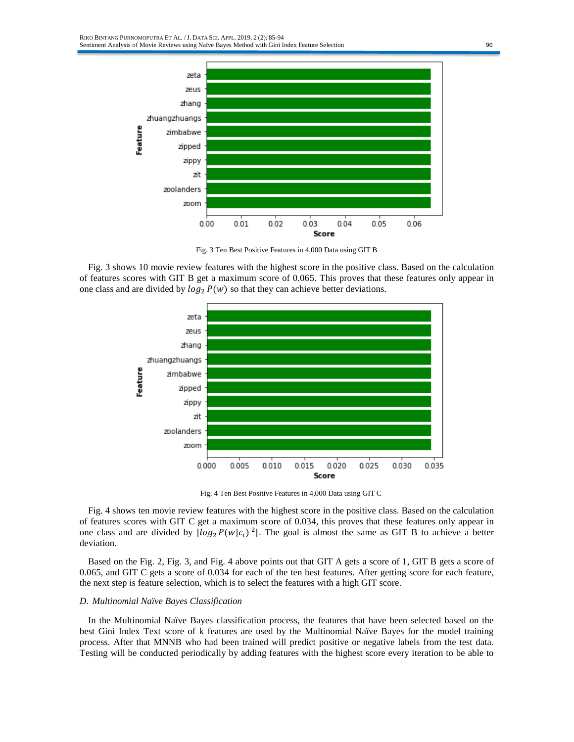

Fig. 3 Ten Best Positive Features in 4,000 Data using GIT B

Fig. 3 shows 10 movie review features with the highest score in the positive class. Based on the calculation of features scores with GIT B get a maximum score of 0.065. This proves that these features only appear in one class and are divided by  $log_2 P(w)$  so that they can achieve better deviations.



Fig. 4 Ten Best Positive Features in 4,000 Data using GIT C

Fig. 4 shows ten movie review features with the highest score in the positive class. Based on the calculation of features scores with GIT C get a maximum score of 0.034, this proves that these features only appear in one class and are divided by  $\lfloor log_2 P(w|c_i)^2 \rfloor$ . The goal is almost the same as GIT B to achieve a better deviation.

Based on the Fig. 2, Fig. 3, and Fig. 4 above points out that GIT A gets a score of 1, GIT B gets a score of 0.065, and GIT C gets a score of 0.034 for each of the ten best features. After getting score for each feature, the next step is feature selection, which is to select the features with a high GIT score.

# *D. Multinomial Naïve Bayes Classification*

In the Multinomial Naïve Bayes classification process, the features that have been selected based on the best Gini Index Text score of k features are used by the Multinomial Naïve Bayes for the model training process. After that MNNB who had been trained will predict positive or negative labels from the test data. Testing will be conducted periodically by adding features with the highest score every iteration to be able to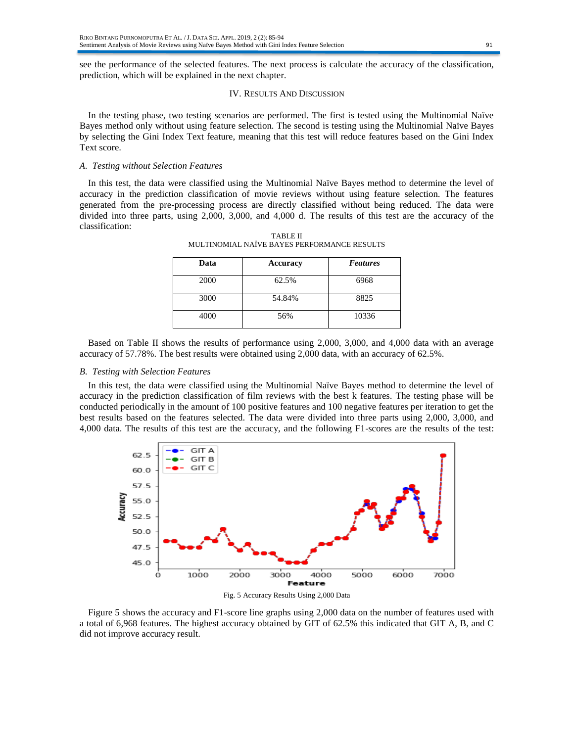see the performance of the selected features. The next process is calculate the accuracy of the classification, prediction, which will be explained in the next chapter.

## IV. RESULTS AND DISCUSSION

In the testing phase, two testing scenarios are performed. The first is tested using the Multinomial Naïve Bayes method only without using feature selection. The second is testing using the Multinomial Naïve Bayes by selecting the Gini Index Text feature, meaning that this test will reduce features based on the Gini Index Text score.

# *A. Testing without Selection Features*

In this test, the data were classified using the Multinomial Naïve Bayes method to determine the level of accuracy in the prediction classification of movie reviews without using feature selection. The features generated from the pre-processing process are directly classified without being reduced. The data were divided into three parts, using 2,000, 3,000, and 4,000 d. The results of this test are the accuracy of the classification:

| Data | Accuracy | <b>Features</b> |
|------|----------|-----------------|
| 2000 | 62.5%    | 6968            |
| 3000 | 54.84%   | 8825            |
| 4000 | 56%      | 10336           |

TABLE II MULTINOMIAL NAÏVE BAYES PERFORMANCE RESULTS

Based on Table II shows the results of performance using 2,000, 3,000, and 4,000 data with an average accuracy of 57.78%. The best results were obtained using 2,000 data, with an accuracy of 62.5%.

# *B. Testing with Selection Features*

In this test, the data were classified using the Multinomial Naïve Bayes method to determine the level of accuracy in the prediction classification of film reviews with the best k features. The testing phase will be conducted periodically in the amount of 100 positive features and 100 negative features per iteration to get the best results based on the features selected. The data were divided into three parts using 2,000, 3,000, and 4,000 data. The results of this test are the accuracy, and the following F1-scores are the results of the test:



Fig. 5 Accuracy Results Using 2,000 Data

Figure 5 shows the accuracy and F1-score line graphs using 2,000 data on the number of features used with a total of 6,968 features. The highest accuracy obtained by GIT of 62.5% this indicated that GIT A, B, and C did not improve accuracy result.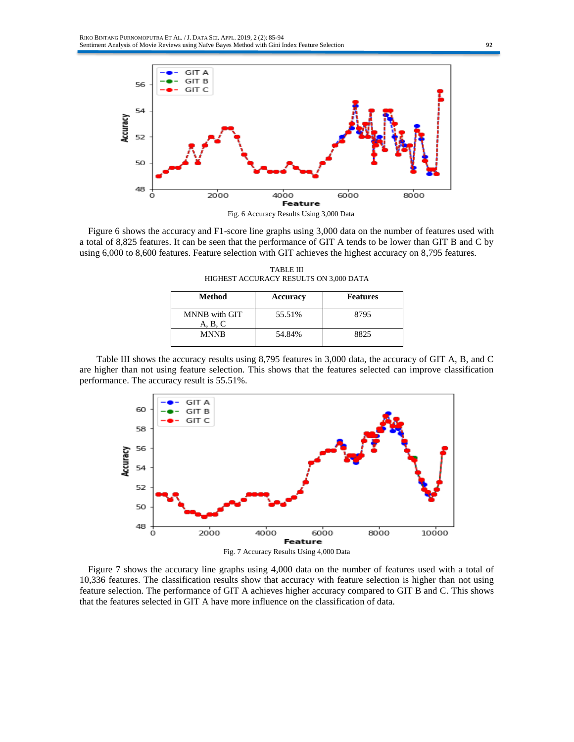

Figure 6 shows the accuracy and F1-score line graphs using 3,000 data on the number of features used with a total of 8,825 features. It can be seen that the performance of GIT A tends to be lower than GIT B and C by using 6,000 to 8,600 features. Feature selection with GIT achieves the highest accuracy on 8,795 features.

TABLE III HIGHEST ACCURACY RESULTS ON 3,000 DATA

| Method                   | Accuracy | <b>Features</b> |
|--------------------------|----------|-----------------|
| MNNB with GIT<br>A, B, C | 55.51%   | 8795            |
| <b>MNNB</b>              | 54.84%   | 8825            |

Table III shows the accuracy results using 8,795 features in 3,000 data, the accuracy of GIT A, B, and C are higher than not using feature selection. This shows that the features selected can improve classification performance. The accuracy result is 55.51%.



Figure 7 shows the accuracy line graphs using 4,000 data on the number of features used with a total of

10,336 features. The classification results show that accuracy with feature selection is higher than not using feature selection. The performance of GIT A achieves higher accuracy compared to GIT B and C. This shows that the features selected in GIT A have more influence on the classification of data.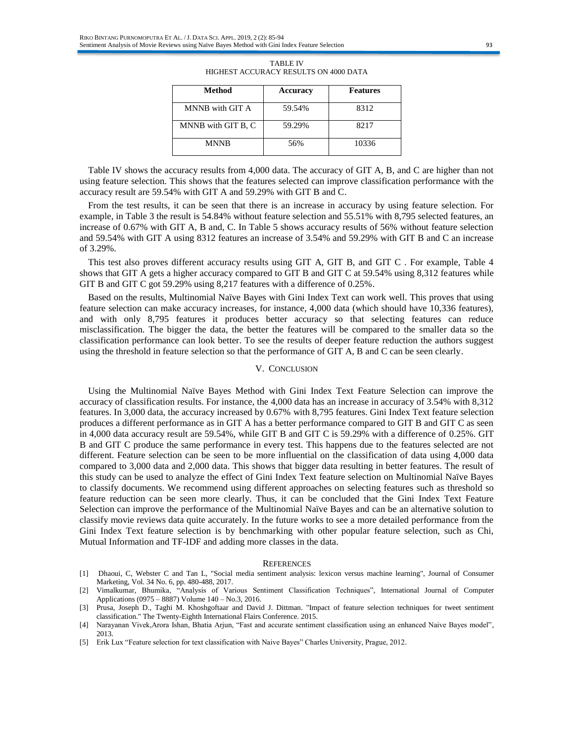| Method             | Accuracy | <b>Features</b> |
|--------------------|----------|-----------------|
| MNNB with GIT A    | 59.54%   | 8312            |
| MNNB with GIT B, C | 59.29%   | 8217            |
| <b>MNNB</b>        | 56%      | 10336           |

| <b>TABLE IV</b>                       |  |  |  |
|---------------------------------------|--|--|--|
| HIGHEST ACCURACY RESULTS ON 4000 DATA |  |  |  |

Table IV shows the accuracy results from 4,000 data. The accuracy of GIT A, B, and C are higher than not using feature selection. This shows that the features selected can improve classification performance with the accuracy result are 59.54% with GIT A and 59.29% with GIT B and C.

From the test results, it can be seen that there is an increase in accuracy by using feature selection. For example, in Table 3 the result is 54.84% without feature selection and 55.51% with 8,795 selected features, an increase of 0.67% with GIT A, B and, C. In Table 5 shows accuracy results of 56% without feature selection and 59.54% with GIT A using 8312 features an increase of 3.54% and 59.29% with GIT B and C an increase of 3.29%.

This test also proves different accuracy results using GIT A, GIT B, and GIT C . For example, Table 4 shows that GIT A gets a higher accuracy compared to GIT B and GIT C at 59.54% using 8,312 features while GIT B and GIT C got 59.29% using 8,217 features with a difference of 0.25%.

Based on the results, Multinomial Naïve Bayes with Gini Index Text can work well. This proves that using feature selection can make accuracy increases, for instance, 4,000 data (which should have 10,336 features), and with only 8,795 features it produces better accuracy so that selecting features can reduce misclassification. The bigger the data, the better the features will be compared to the smaller data so the classification performance can look better. To see the results of deeper feature reduction the authors suggest using the threshold in feature selection so that the performance of GIT A, B and C can be seen clearly.

# V. CONCLUSION

Using the Multinomial Naïve Bayes Method with Gini Index Text Feature Selection can improve the accuracy of classification results. For instance, the 4,000 data has an increase in accuracy of 3.54% with 8,312 features. In 3,000 data, the accuracy increased by 0.67% with 8,795 features. Gini Index Text feature selection produces a different performance as in GIT A has a better performance compared to GIT B and GIT C as seen in 4,000 data accuracy result are 59.54%, while GIT B and GIT C is 59.29% with a difference of 0.25%. GIT B and GIT C produce the same performance in every test. This happens due to the features selected are not different. Feature selection can be seen to be more influential on the classification of data using 4,000 data compared to 3,000 data and 2,000 data. This shows that bigger data resulting in better features. The result of this study can be used to analyze the effect of Gini Index Text feature selection on Multinomial Naïve Bayes to classify documents. We recommend using different approaches on selecting features such as threshold so feature reduction can be seen more clearly. Thus, it can be concluded that the Gini Index Text Feature Selection can improve the performance of the Multinomial Naïve Bayes and can be an alternative solution to classify movie reviews data quite accurately. In the future works to see a more detailed performance from the Gini Index Text feature selection is by benchmarking with other popular feature selection, such as Chi, Mutual Information and TF-IDF and adding more classes in the data.

#### **REFERENCES**

[1] Dhaoui, C, Webster C and Tan L, "Social media sentiment analysis: lexicon versus machine learning", Journal of Consumer Marketing, Vol. 34 No. 6, pp. 480-488, 2017.

[5] Erik Lux "Feature selection for text classification with Naive Bayes" Charles University, Prague, 2012.

<sup>[2]</sup> Vimalkumar, Bhumika, "Analysis of Various Sentiment Classification Techniques", International Journal of Computer Applications (0975 – 8887) Volume 140 – No.3, 2016.

<sup>[3]</sup> Prusa, Joseph D., Taghi M. Khoshgoftaar and David J. Dittman. "Impact of feature selection techniques for tweet sentiment classification." The Twenty-Eighth International Flairs Conference. 2015.

<sup>[4]</sup> Narayanan Vivek,Arora Ishan, Bhatia Arjun, "Fast and accurate sentiment classification using an enhanced Naive Bayes model", 2013.